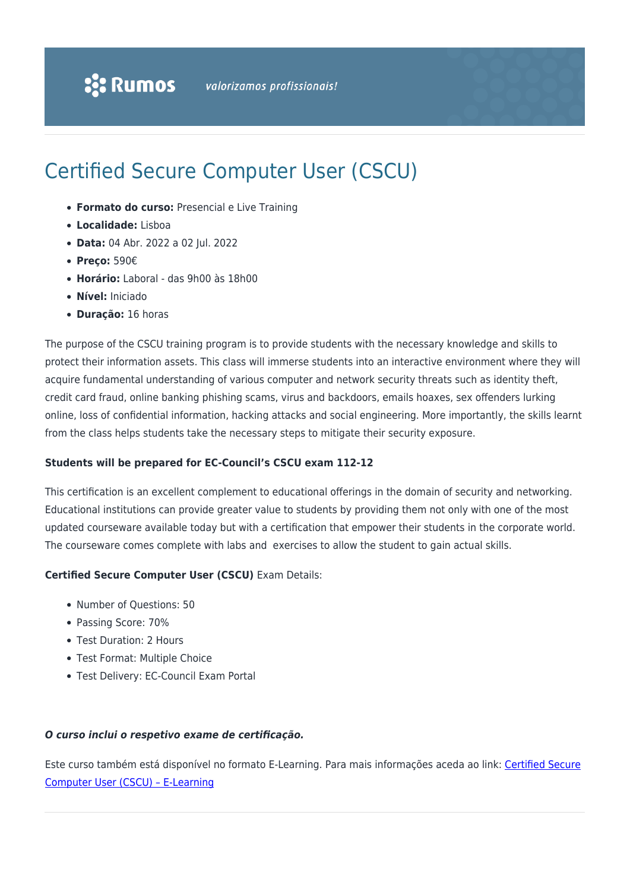# Certified Secure Computer User (CSCU)

- **Formato do curso:** Presencial e Live Training
- **Localidade:** Lisboa
- **Data:** 04 Abr. 2022 a 02 Jul. 2022
- **Preço:** 590€
- **Horário:** Laboral das 9h00 às 18h00
- **Nível:** Iniciado
- **Duração:** 16 horas

The purpose of the CSCU training program is to provide students with the necessary knowledge and skills to protect their information assets. This class will immerse students into an interactive environment where they will acquire fundamental understanding of various computer and network security threats such as identity theft, credit card fraud, online banking phishing scams, virus and backdoors, emails hoaxes, sex offenders lurking online, loss of confidential information, hacking attacks and social engineering. More importantly, the skills learnt from the class helps students take the necessary steps to mitigate their security exposure.

#### **Students will be prepared for EC-Council's CSCU exam 112-12**

This certification is an excellent complement to educational offerings in the domain of security and networking. Educational institutions can provide greater value to students by providing them not only with one of the most updated courseware available today but with a certification that empower their students in the corporate world. The courseware comes complete with labs and exercises to allow the student to gain actual skills.

#### **Certified Secure Computer User (CSCU)** Exam Details:

- Number of Questions: 50
- Passing Score: 70%
- Test Duration: 2 Hours
- Test Format: Multiple Choice
- Test Delivery: EC-Council Exam Portal

#### *O curso inclui o respetivo exame de certificação.*

Este curso também está disponível no formato E-Learning. Para mais informações aceda ao link: [Certified Secure](https://www.rumos.pt/curso/cscu-certified-secure-computer-user-e-learning/) [Computer User \(CSCU\) – E-Learning](https://www.rumos.pt/curso/cscu-certified-secure-computer-user-e-learning/)